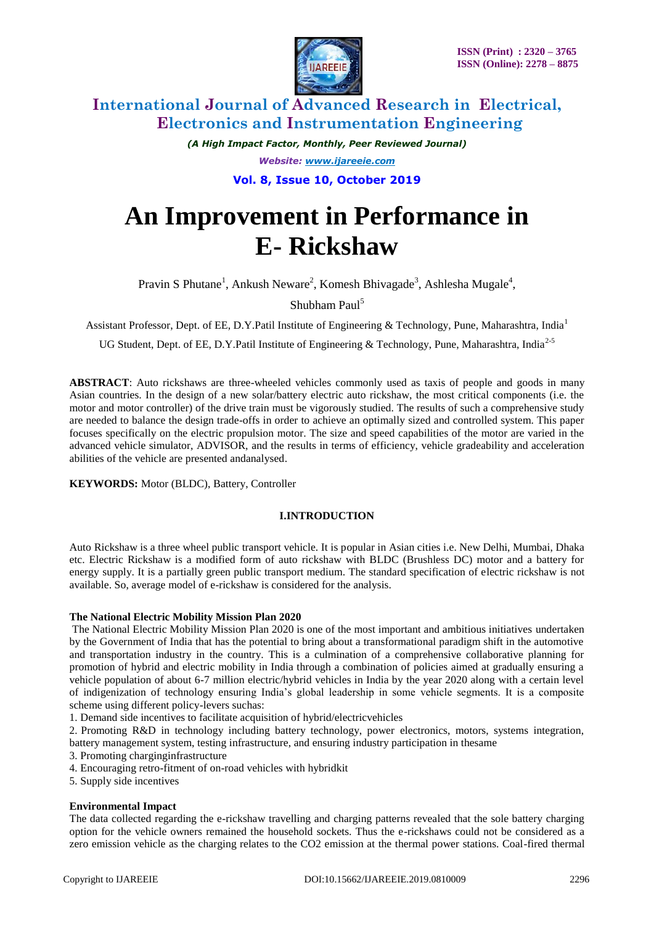

*(A High Impact Factor, Monthly, Peer Reviewed Journal) Website: [www.ijareeie.com](http://www.ijareeie.com/)* **Vol. 8, Issue 10, October 2019**

# **An Improvement in Performance in E- Rickshaw**

Pravin S Phutane<sup>1</sup>, Ankush Neware<sup>2</sup>, Komesh Bhivagade<sup>3</sup>, Ashlesha Mugale<sup>4</sup>,

Shubham Paul<sup>5</sup>

Assistant Professor, Dept. of EE, D.Y.Patil Institute of Engineering & Technology, Pune, Maharashtra, India<sup>1</sup>

UG Student, Dept. of EE, D.Y.Patil Institute of Engineering & Technology, Pune, Maharashtra, India<sup>2-5</sup>

**ABSTRACT**: Auto rickshaws are three-wheeled vehicles commonly used as taxis of people and goods in many Asian countries. In the design of a new solar/battery electric auto rickshaw, the most critical components (i.e. the motor and motor controller) of the drive train must be vigorously studied. The results of such a comprehensive study are needed to balance the design trade-offs in order to achieve an optimally sized and controlled system. This paper focuses specifically on the electric propulsion motor. The size and speed capabilities of the motor are varied in the advanced vehicle simulator, ADVISOR, and the results in terms of efficiency, vehicle gradeability and acceleration abilities of the vehicle are presented andanalysed.

**KEYWORDS:** Motor (BLDC), Battery, Controller

### **I.INTRODUCTION**

Auto Rickshaw is a three wheel public transport vehicle. It is popular in Asian cities i.e. New Delhi, Mumbai, Dhaka etc. Electric Rickshaw is a modified form of auto rickshaw with BLDC (Brushless DC) motor and a battery for energy supply. It is a partially green public transport medium. The standard specification of electric rickshaw is not available. So, average model of e-rickshaw is considered for the analysis.

### **The National Electric Mobility Mission Plan 2020**

The National Electric Mobility Mission Plan 2020 is one of the most important and ambitious initiatives undertaken by the Government of India that has the potential to bring about a transformational paradigm shift in the automotive and transportation industry in the country. This is a culmination of a comprehensive collaborative planning for promotion of hybrid and electric mobility in India through a combination of policies aimed at gradually ensuring a vehicle population of about 6-7 million electric/hybrid vehicles in India by the year 2020 along with a certain level of indigenization of technology ensuring India's global leadership in some vehicle segments. It is a composite scheme using different policy-levers suchas:

1. Demand side incentives to facilitate acquisition of hybrid/electricvehicles

2. Promoting R&D in technology including battery technology, power electronics, motors, systems integration, battery management system, testing infrastructure, and ensuring industry participation in thesame

3. Promoting charginginfrastructure

- 4. Encouraging retro-fitment of on-road vehicles with hybridkit
- 5. Supply side incentives

### **Environmental Impact**

The data collected regarding the e-rickshaw travelling and charging patterns revealed that the sole battery charging option for the vehicle owners remained the household sockets. Thus the e-rickshaws could not be considered as a zero emission vehicle as the charging relates to the CO2 emission at the thermal power stations. Coal-fired thermal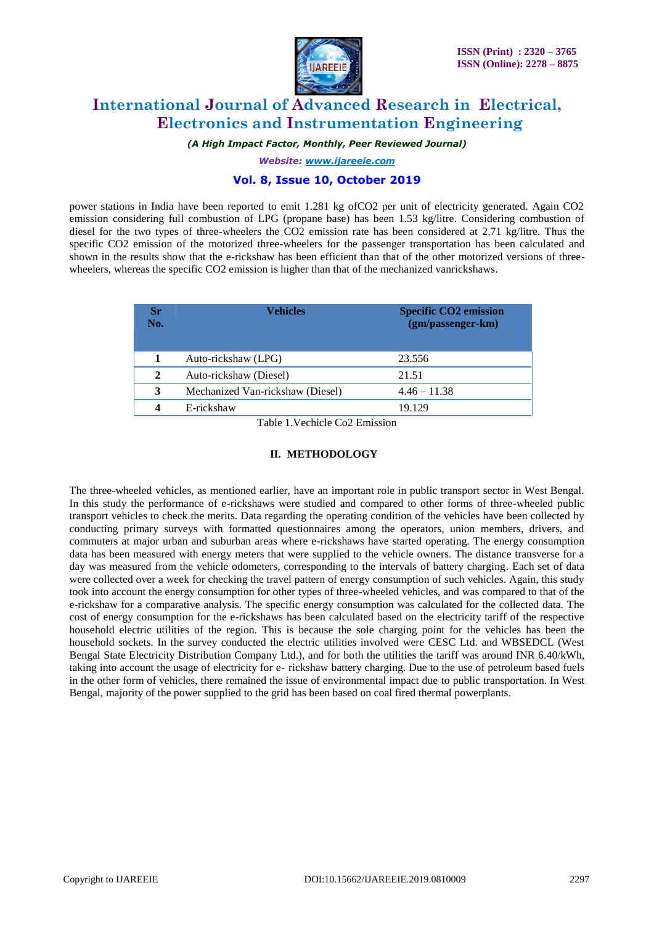

*(A High Impact Factor, Monthly, Peer Reviewed Journal)*

*Website: [www.ijareeie.com](http://www.ijareeie.com/)*

## **Vol. 8, Issue 10, October 2019**

power stations in India have been reported to emit 1.281 kg ofCO2 per unit of electricity generated. Again CO2 emission considering full combustion of LPG (propane base) has been 1.53 kg/litre. Considering combustion of diesel for the two types of three-wheelers the CO2 emission rate has been considered at 2.71 kg/litre. Thus the specific CO2 emission of the motorized three-wheelers for the passenger transportation has been calculated and shown in the results show that the e-rickshaw has been efficient than that of the other motorized versions of threewheelers, whereas the specific CO2 emission is higher than that of the mechanized vanrickshaws.

| Sr<br>No.    | Vehicles                         | <b>Specific CO2 emission</b><br>(gm/passenger-km) |
|--------------|----------------------------------|---------------------------------------------------|
|              | Auto-rickshaw (LPG)              | 23.556                                            |
| $\mathbf{2}$ | Auto-rickshaw (Diesel)           | 21.51                                             |
| 3            | Mechanized Van-rickshaw (Diesel) | $4.46 - 11.38$                                    |
| 4            | E-rickshaw                       | 19.129                                            |

Table 1.Vechicle Co2 Emission

#### **II. METHODOLOGY**

The three-wheeled vehicles, as mentioned earlier, have an important role in public transport sector in West Bengal. In this study the performance of e-rickshaws were studied and compared to other forms of three-wheeled public transport vehicles to check the merits. Data regarding the operating condition of the vehicles have been collected by conducting primary surveys with formatted questionnaires among the operators, union members, drivers, and commuters at major urban and suburban areas where e-rickshaws have started operating. The energy consumption data has been measured with energy meters that were supplied to the vehicle owners. The distance transverse for a day was measured from the vehicle odometers, corresponding to the intervals of battery charging. Each set of data were collected over a week for checking the travel pattern of energy consumption of such vehicles. Again, this study took into account the energy consumption for other types of three-wheeled vehicles, and was compared to that of the e-rickshaw for a comparative analysis. The specific energy consumption was calculated for the collected data. The cost of energy consumption for the e-rickshaws has been calculated based on the electricity tariff of the respective household electric utilities of the region. This is because the sole charging point for the vehicles has been the household sockets. In the survey conducted the electric utilities involved were CESC Ltd. and WBSEDCL (West Bengal State Electricity Distribution Company Ltd.), and for both the utilities the tariff was around INR 6.40/kWh, taking into account the usage of electricity for e- rickshaw battery charging. Due to the use of petroleum based fuels in the other form of vehicles, there remained the issue of environmental impact due to public transportation. In West Bengal, majority of the power supplied to the grid has been based on coal fired thermal powerplants.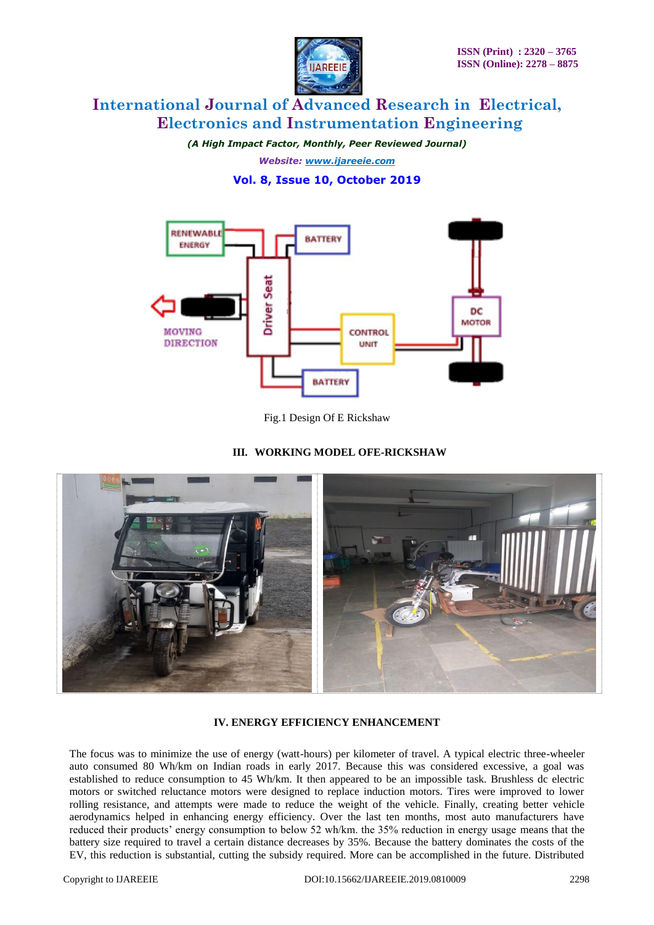

*(A High Impact Factor, Monthly, Peer Reviewed Journal) Website: [www.ijareeie.com](http://www.ijareeie.com/)* **Vol. 8, Issue 10, October 2019**



Fig.1 Design Of E Rickshaw

# **III. WORKING MODEL OFE-RICKSHAW**



# **IV. ENERGY EFFICIENCY ENHANCEMENT**

The focus was to minimize the use of energy (watt-hours) per kilometer of travel. A typical electric three-wheeler auto consumed 80 Wh/km on Indian roads in early 2017. Because this was considered excessive, a goal was established to reduce consumption to 45 Wh/km. It then appeared to be an impossible task. Brushless dc electric motors or switched reluctance motors were designed to replace induction motors. Tires were improved to lower rolling resistance, and attempts were made to reduce the weight of the vehicle. Finally, creating better vehicle aerodynamics helped in enhancing energy efficiency. Over the last ten months, most auto manufacturers have reduced their products' energy consumption to below 52 wh/km. the 35% reduction in energy usage means that the battery size required to travel a certain distance decreases by 35%. Because the battery dominates the costs of the EV, this reduction is substantial, cutting the subsidy required. More can be accomplished in the future. Distributed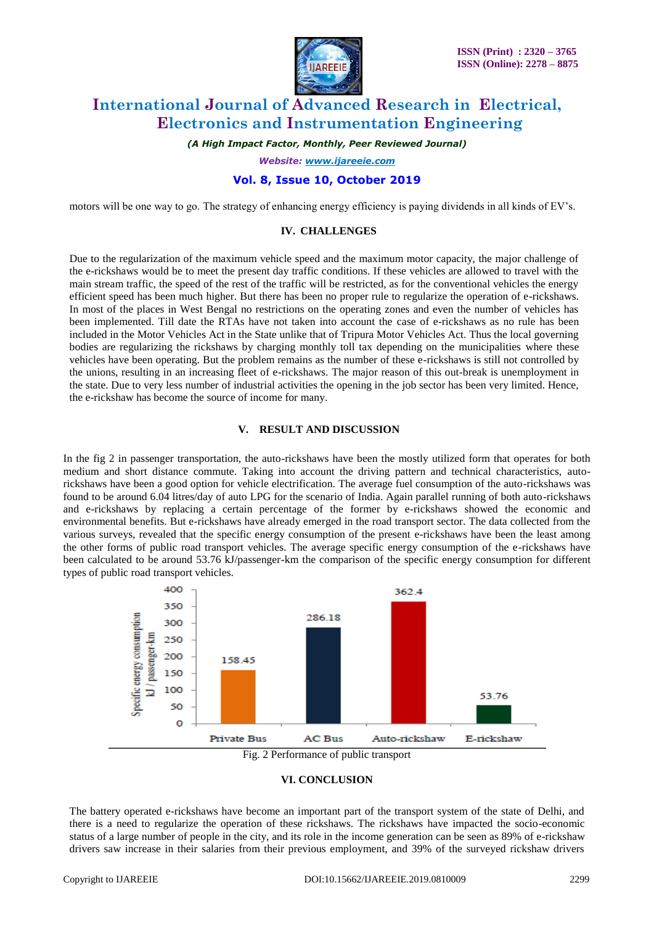

*(A High Impact Factor, Monthly, Peer Reviewed Journal)*

*Website: [www.ijareeie.com](http://www.ijareeie.com/)*

### **Vol. 8, Issue 10, October 2019**

motors will be one way to go. The strategy of enhancing energy efficiency is paying dividends in all kinds of EV's.

### **IV. CHALLENGES**

Due to the regularization of the maximum vehicle speed and the maximum motor capacity, the major challenge of the e-rickshaws would be to meet the present day traffic conditions. If these vehicles are allowed to travel with the main stream traffic, the speed of the rest of the traffic will be restricted, as for the conventional vehicles the energy efficient speed has been much higher. But there has been no proper rule to regularize the operation of e-rickshaws. In most of the places in West Bengal no restrictions on the operating zones and even the number of vehicles has been implemented. Till date the RTAs have not taken into account the case of e-rickshaws as no rule has been included in the Motor Vehicles Act in the State unlike that of Tripura Motor Vehicles Act. Thus the local governing bodies are regularizing the rickshaws by charging monthly toll tax depending on the municipalities where these vehicles have been operating. But the problem remains as the number of these e-rickshaws is still not controlled by the unions, resulting in an increasing fleet of e-rickshaws. The major reason of this out-break is unemployment in the state. Due to very less number of industrial activities the opening in the job sector has been very limited. Hence, the e-rickshaw has become the source of income for many.

#### **V. RESULT AND DISCUSSION**

In the fig 2 in passenger transportation, the auto-rickshaws have been the mostly utilized form that operates for both medium and short distance commute. Taking into account the driving pattern and technical characteristics, autorickshaws have been a good option for vehicle electrification. The average fuel consumption of the auto-rickshaws was found to be around 6.04 litres/day of auto LPG for the scenario of India. Again parallel running of both auto-rickshaws and e-rickshaws by replacing a certain percentage of the former by e-rickshaws showed the economic and environmental benefits. But e-rickshaws have already emerged in the road transport sector. The data collected from the various surveys, revealed that the specific energy consumption of the present e-rickshaws have been the least among the other forms of public road transport vehicles. The average specific energy consumption of the e-rickshaws have been calculated to be around 53.76 kJ/passenger-km the comparison of the specific energy consumption for different types of public road transport vehicles.





### **VI. CONCLUSION**

The battery operated e-rickshaws have become an important part of the transport system of the state of Delhi, and there is a need to regularize the operation of these rickshaws. The rickshaws have impacted the socio-economic status of a large number of people in the city, and its role in the income generation can be seen as 89% of e-rickshaw drivers saw increase in their salaries from their previous employment, and 39% of the surveyed rickshaw drivers